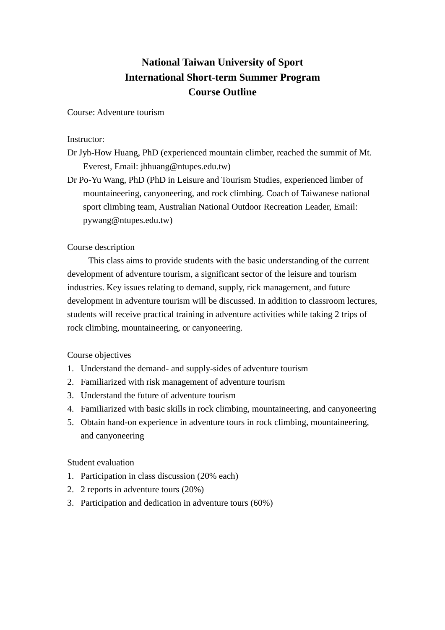## **National Taiwan University of Sport International Short-term Summer Program Course Outline**

Course: Adventure tourism

Instructor:

- Dr Jyh-How Huang, PhD (experienced mountain climber, reached the summit of Mt. Everest, Email: jhhuang@ntupes.edu.tw)
- Dr Po-Yu Wang, PhD (PhD in Leisure and Tourism Studies, experienced limber of mountaineering, canyoneering, and rock climbing. Coach of Taiwanese national sport climbing team, Australian National Outdoor Recreation Leader, Email: pywang@ntupes.edu.tw)

## Course description

This class aims to provide students with the basic understanding of the current development of adventure tourism, a significant sector of the leisure and tourism industries. Key issues relating to demand, supply, rick management, and future development in adventure tourism will be discussed. In addition to classroom lectures, students will receive practical training in adventure activities while taking 2 trips of rock climbing, mountaineering, or canyoneering.

Course objectives

- 1. Understand the demand- and supply-sides of adventure tourism
- 2. Familiarized with risk management of adventure tourism
- 3. Understand the future of adventure tourism
- 4. Familiarized with basic skills in rock climbing, mountaineering, and canyoneering
- 5. Obtain hand-on experience in adventure tours in rock climbing, mountaineering, and canyoneering

Student evaluation

- 1. Participation in class discussion (20% each)
- 2. 2 reports in adventure tours (20%)
- 3. Participation and dedication in adventure tours (60%)